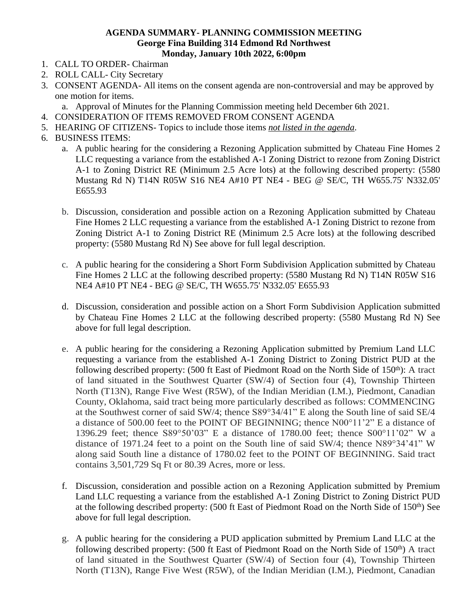## **AGENDA SUMMARY- PLANNING COMMISSION MEETING George Fina Building 314 Edmond Rd Northwest Monday, January 10th 2022, 6:00pm**

- 1. CALL TO ORDER- Chairman
- 2. ROLL CALL- City Secretary
- 3. CONSENT AGENDA- All items on the consent agenda are non-controversial and may be approved by one motion for items.
	- a. Approval of Minutes for the Planning Commission meeting held December 6th 2021.
- 4. CONSIDERATION OF ITEMS REMOVED FROM CONSENT AGENDA
- 5. HEARING OF CITIZENS- Topics to include those items *not listed in the agenda*.
- 6. BUSINESS ITEMS:
	- a. A public hearing for the considering a Rezoning Application submitted by Chateau Fine Homes 2 LLC requesting a variance from the established A-1 Zoning District to rezone from Zoning District A-1 to Zoning District RE (Minimum 2.5 Acre lots) at the following described property: (5580 Mustang Rd N) T14N R05W S16 NE4 A#10 PT NE4 - BEG @ SE/C, TH W655.75' N332.05' E655.93
	- b. Discussion, consideration and possible action on a Rezoning Application submitted by Chateau Fine Homes 2 LLC requesting a variance from the established A-1 Zoning District to rezone from Zoning District A-1 to Zoning District RE (Minimum 2.5 Acre lots) at the following described property: (5580 Mustang Rd N) See above for full legal description.
	- c. A public hearing for the considering a Short Form Subdivision Application submitted by Chateau Fine Homes 2 LLC at the following described property: (5580 Mustang Rd N) T14N R05W S16 NE4 A#10 PT NE4 - BEG @ SE/C, TH W655.75' N332.05' E655.93
	- d. Discussion, consideration and possible action on a Short Form Subdivision Application submitted by Chateau Fine Homes 2 LLC at the following described property: (5580 Mustang Rd N) See above for full legal description.
	- e. A public hearing for the considering a Rezoning Application submitted by Premium Land LLC requesting a variance from the established A-1 Zoning District to Zoning District PUD at the following described property: (500 ft East of Piedmont Road on the North Side of  $150<sup>th</sup>$ ): A tract of land situated in the Southwest Quarter (SW/4) of Section four (4), Township Thirteen North (T13N), Range Five West (R5W), of the Indian Meridian (I.M.), Piedmont, Canadian County, Oklahoma, said tract being more particularly described as follows: COMMENCING at the Southwest corner of said SW/4; thence S89°34/41" E along the South line of said SE/4 a distance of 500.00 feet to the POINT OF BEGINNING; thence N00°11'2" E a distance of 1396.29 feet; thence S89°50'03" E a distance of 1780.00 feet; thence S00°11'02" W a distance of 1971.24 feet to a point on the South line of said SW/4; thence N89°34'41" W along said South line a distance of 1780.02 feet to the POINT OF BEGINNING. Said tract contains 3,501,729 Sq Ft or 80.39 Acres, more or less.
	- f. Discussion, consideration and possible action on a Rezoning Application submitted by Premium Land LLC requesting a variance from the established A-1 Zoning District to Zoning District PUD at the following described property: (500 ft East of Piedmont Road on the North Side of 150<sup>th</sup>) See above for full legal description.
	- g. A public hearing for the considering a PUD application submitted by Premium Land LLC at the following described property:  $(500 \text{ ft East of $i$  Piedmont Road on the North Side of  $150<sup>th</sup>$ ) A tract$ of land situated in the Southwest Quarter (SW/4) of Section four (4), Township Thirteen North (T13N), Range Five West (R5W), of the Indian Meridian (I.M.), Piedmont, Canadian